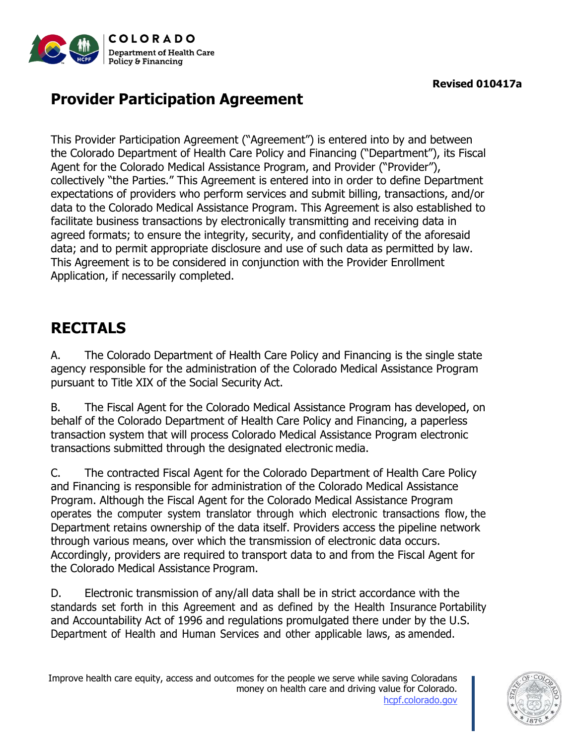

# **Provider Participation Agreement**

This Provider Participation Agreement ("Agreement") is entered into by and between the Colorado Department of Health Care Policy and Financing ("Department"), its Fiscal Agent for the Colorado Medical Assistance Program, and Provider ("Provider"), collectively "the Parties." This Agreement is entered into in order to define Department expectations of providers who perform services and submit billing, transactions, and/or data to the Colorado Medical Assistance Program. This Agreement is also established to facilitate business transactions by electronically transmitting and receiving data in agreed formats; to ensure the integrity, security, and confidentiality of the aforesaid data; and to permit appropriate disclosure and use of such data as permitted by law. This Agreement is to be considered in conjunction with the Provider Enrollment Application, if necessarily completed.

## **RECITALS**

A. The Colorado Department of Health Care Policy and Financing is the single state agency responsible for the administration of the Colorado Medical Assistance Program pursuant to Title XIX of the Social Security Act.

B. The Fiscal Agent for the Colorado Medical Assistance Program has developed, on behalf of the Colorado Department of Health Care Policy and Financing, a paperless transaction system that will process Colorado Medical Assistance Program electronic transactions submitted through the designated electronic media.

C. The contracted Fiscal Agent for the Colorado Department of Health Care Policy and Financing is responsible for administration of the Colorado Medical Assistance Program. Although the Fiscal Agent for the Colorado Medical Assistance Program operates the computer system translator through which electronic transactions flow, the Department retains ownership of the data itself. Providers access the pipeline network through various means, over which the transmission of electronic data occurs. Accordingly, providers are required to transport data to and from the Fiscal Agent for the Colorado Medical Assistance Program.

D. Electronic transmission of any/all data shall be in strict accordance with the standards set forth in this Agreement and as defined by the Health Insurance Portability and Accountability Act of 1996 and regulations promulgated there under by the U.S. Department of Health and Human Services and other applicable laws, as amended.

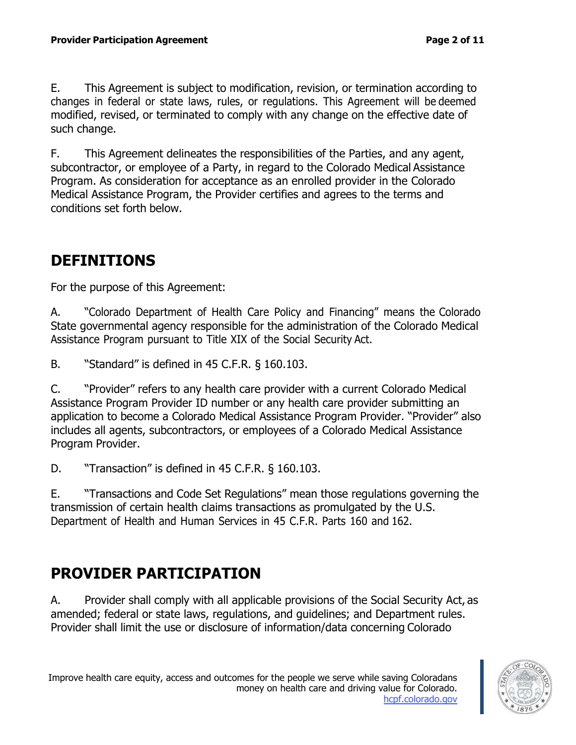E. This Agreement is subject to modification, revision, or termination according to changes in federal or state laws, rules, or regulations. This Agreement will be deemed modified, revised, or terminated to comply with any change on the effective date of such change.

F. This Agreement delineates the responsibilities of the Parties, and any agent, subcontractor, or employee of a Party, in regard to the Colorado Medical Assistance Program. As consideration for acceptance as an enrolled provider in the Colorado Medical Assistance Program, the Provider certifies and agrees to the terms and conditions set forth below.

### **DEFINITIONS**

For the purpose of this Agreement:

A. "Colorado Department of Health Care Policy and Financing" means the Colorado State governmental agency responsible for the administration of the Colorado Medical Assistance Program pursuant to Title XIX of the Social Security Act.

B. "Standard" is defined in 45 C.F.R. § 160.103.

C. "Provider" refers to any health care provider with a current Colorado Medical Assistance Program Provider ID number or any health care provider submitting an application to become a Colorado Medical Assistance Program Provider. "Provider" also includes all agents, subcontractors, or employees of a Colorado Medical Assistance Program Provider.

D. "Transaction" is defined in 45 C.F.R. § 160.103.

E. "Transactions and Code Set Regulations" mean those regulations governing the transmission of certain health claims transactions as promulgated by the U.S. Department of Health and Human Services in 45 C.F.R. Parts 160 and 162.

#### **PROVIDER PARTICIPATION**

A. Provider shall comply with all applicable provisions of the Social Security Act, as amended; federal or state laws, regulations, and guidelines; and Department rules. Provider shall limit the use or disclosure of information/data concerning Colorado

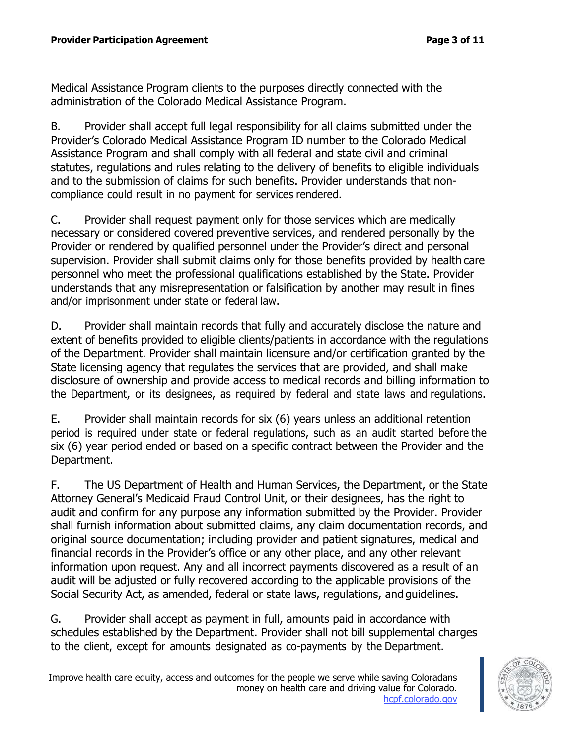Medical Assistance Program clients to the purposes directly connected with the administration of the Colorado Medical Assistance Program.

B. Provider shall accept full legal responsibility for all claims submitted under the Provider's Colorado Medical Assistance Program ID number to the Colorado Medical Assistance Program and shall comply with all federal and state civil and criminal statutes, regulations and rules relating to the delivery of benefits to eligible individuals and to the submission of claims for such benefits. Provider understands that noncompliance could result in no payment for services rendered.

C. Provider shall request payment only for those services which are medically necessary or considered covered preventive services, and rendered personally by the Provider or rendered by qualified personnel under the Provider's direct and personal supervision. Provider shall submit claims only for those benefits provided by health care personnel who meet the professional qualifications established by the State. Provider understands that any misrepresentation or falsification by another may result in fines and/or imprisonment under state or federal law.

D. Provider shall maintain records that fully and accurately disclose the nature and extent of benefits provided to eligible clients/patients in accordance with the regulations of the Department. Provider shall maintain licensure and/or certification granted by the State licensing agency that regulates the services that are provided, and shall make disclosure of ownership and provide access to medical records and billing information to the Department, or its designees, as required by federal and state laws and regulations.

E. Provider shall maintain records for six (6) years unless an additional retention period is required under state or federal regulations, such as an audit started before the six (6) year period ended or based on a specific contract between the Provider and the Department.

F. The US Department of Health and Human Services, the Department, or the State Attorney General's Medicaid Fraud Control Unit, or their designees, has the right to audit and confirm for any purpose any information submitted by the Provider. Provider shall furnish information about submitted claims, any claim documentation records, and original source documentation; including provider and patient signatures, medical and financial records in the Provider's office or any other place, and any other relevant information upon request. Any and all incorrect payments discovered as a result of an audit will be adjusted or fully recovered according to the applicable provisions of the Social Security Act, as amended, federal or state laws, regulations, and guidelines.

G. Provider shall accept as payment in full, amounts paid in accordance with schedules established by the Department. Provider shall not bill supplemental charges to the client, except for amounts designated as co-payments by the Department.

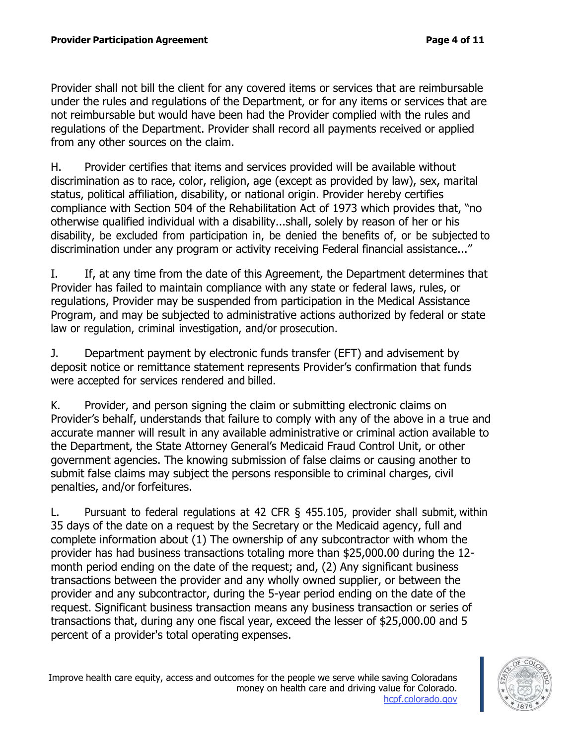Provider shall not bill the client for any covered items or services that are reimbursable under the rules and regulations of the Department, or for any items or services that are not reimbursable but would have been had the Provider complied with the rules and regulations of the Department. Provider shall record all payments received or applied from any other sources on the claim.

H. Provider certifies that items and services provided will be available without discrimination as to race, color, religion, age (except as provided by law), sex, marital status, political affiliation, disability, or national origin. Provider hereby certifies compliance with Section 504 of the Rehabilitation Act of 1973 which provides that, "no otherwise qualified individual with a disability...shall, solely by reason of her or his disability, be excluded from participation in, be denied the benefits of, or be subjected to discrimination under any program or activity receiving Federal financial assistance..."

I. If, at any time from the date of this Agreement, the Department determines that Provider has failed to maintain compliance with any state or federal laws, rules, or regulations, Provider may be suspended from participation in the Medical Assistance Program, and may be subjected to administrative actions authorized by federal or state law or regulation, criminal investigation, and/or prosecution.

J. Department payment by electronic funds transfer (EFT) and advisement by deposit notice or remittance statement represents Provider's confirmation that funds were accepted for services rendered and billed.

K. Provider, and person signing the claim or submitting electronic claims on Provider's behalf, understands that failure to comply with any of the above in a true and accurate manner will result in any available administrative or criminal action available to the Department, the State Attorney General's Medicaid Fraud Control Unit, or other government agencies. The knowing submission of false claims or causing another to submit false claims may subject the persons responsible to criminal charges, civil penalties, and/or forfeitures.

L. Pursuant to federal regulations at 42 CFR § 455.105, provider shall submit, within 35 days of the date on a request by the Secretary or the Medicaid agency, full and complete information about (1) The ownership of any subcontractor with whom the provider has had business transactions totaling more than \$25,000.00 during the 12 month period ending on the date of the request; and, (2) Any significant business transactions between the provider and any wholly owned supplier, or between the provider and any subcontractor, during the 5-year period ending on the date of the request. Significant business transaction means any business transaction or series of transactions that, during any one fiscal year, exceed the lesser of \$25,000.00 and 5 percent of a provider's total operating expenses.

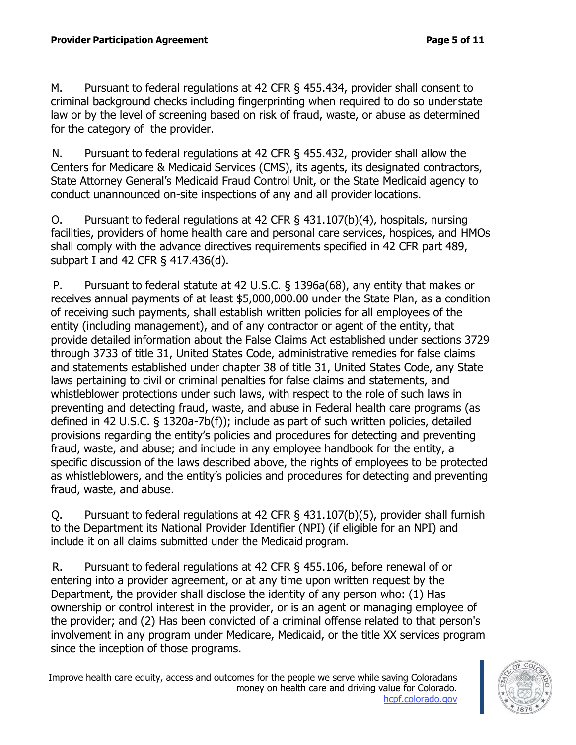M. Pursuant to federal regulations at 42 CFR § 455.434, provider shall consent to criminal background checks including fingerprinting when required to do so under state law or by the level of screening based on risk of fraud, waste, or abuse as determined for the category of the provider.

N. Pursuant to federal regulations at 42 CFR § 455.432, provider shall allow the Centers for Medicare & Medicaid Services (CMS), its agents, its designated contractors, State Attorney General's Medicaid Fraud Control Unit, or the State Medicaid agency to conduct unannounced on-site inspections of any and all provider locations.

O. Pursuant to federal regulations at 42 CFR § 431.107(b)(4), hospitals, nursing facilities, providers of home health care and personal care services, hospices, and HMOs shall comply with the advance directives requirements specified in 42 CFR part 489, subpart I and 42 CFR § 417.436(d).

P. Pursuant to federal statute at 42 U.S.C. § 1396a(68), any entity that makes or receives annual payments of at least \$5,000,000.00 under the State Plan, as a condition of receiving such payments, shall establish written policies for all employees of the entity (including management), and of any contractor or agent of the entity, that provide detailed information about the False Claims Act established under sections 3729 through 3733 of title 31, United States Code, administrative remedies for false claims and statements established under chapter 38 of title 31, United States Code, any State laws pertaining to civil or criminal penalties for false claims and statements, and whistleblower protections under such laws, with respect to the role of such laws in preventing and detecting fraud, waste, and abuse in Federal health care programs (as defined in 42 U.S.C. § 1320a-7b(f)); include as part of such written policies, detailed provisions regarding the entity's policies and procedures for detecting and preventing fraud, waste, and abuse; and include in any employee handbook for the entity, a specific discussion of the laws described above, the rights of employees to be protected as whistleblowers, and the entity's policies and procedures for detecting and preventing fraud, waste, and abuse.

Q. Pursuant to federal regulations at 42 CFR § 431.107(b)(5), provider shall furnish to the Department its National Provider Identifier (NPI) (if eligible for an NPI) and include it on all claims submitted under the Medicaid program.

R. Pursuant to federal regulations at 42 CFR § 455.106, before renewal of or entering into a provider agreement, or at any time upon written request by the Department, the provider shall disclose the identity of any person who: (1) Has ownership or control interest in the provider, or is an agent or managing employee of the provider; and (2) Has been convicted of a criminal offense related to that person's involvement in any program under Medicare, Medicaid, or the title XX services program since the inception of those programs.

Improve health care equity, access and outcomes for the people we serve while saving Coloradans money on health care and driving value for Colorado. hcpf.colorado.gov

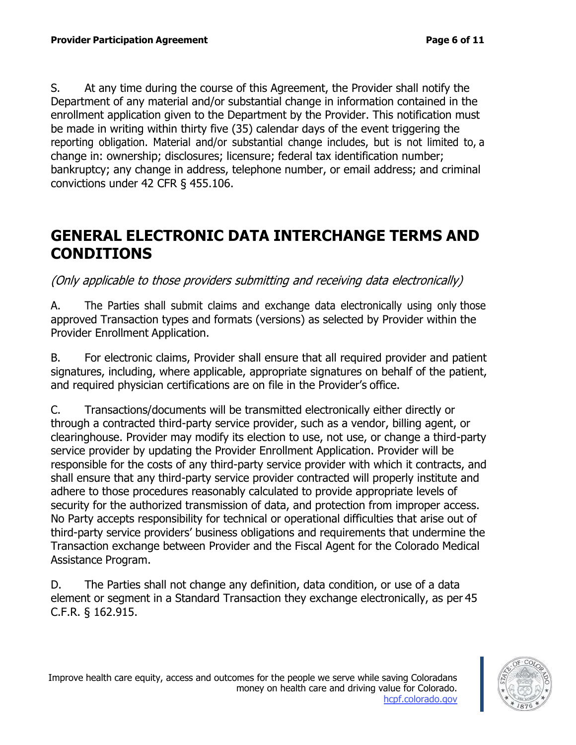S. At any time during the course of this Agreement, the Provider shall notify the Department of any material and/or substantial change in information contained in the enrollment application given to the Department by the Provider. This notification must be made in writing within thirty five (35) calendar days of the event triggering the reporting obligation. Material and/or substantial change includes, but is not limited to, a change in: ownership; disclosures; licensure; federal tax identification number; bankruptcy; any change in address, telephone number, or email address; and criminal convictions under 42 CFR § 455.106.

#### **GENERAL ELECTRONIC DATA INTERCHANGE TERMS AND CONDITIONS**

#### (Only applicable to those providers submitting and receiving data electronically)

A. The Parties shall submit claims and exchange data electronically using only those approved Transaction types and formats (versions) as selected by Provider within the Provider Enrollment Application.

B. For electronic claims, Provider shall ensure that all required provider and patient signatures, including, where applicable, appropriate signatures on behalf of the patient, and required physician certifications are on file in the Provider's office.

C. Transactions/documents will be transmitted electronically either directly or through a contracted third-party service provider, such as a vendor, billing agent, or clearinghouse. Provider may modify its election to use, not use, or change a third-party service provider by updating the Provider Enrollment Application. Provider will be responsible for the costs of any third-party service provider with which it contracts, and shall ensure that any third-party service provider contracted will properly institute and adhere to those procedures reasonably calculated to provide appropriate levels of security for the authorized transmission of data, and protection from improper access. No Party accepts responsibility for technical or operational difficulties that arise out of third-party service providers' business obligations and requirements that undermine the Transaction exchange between Provider and the Fiscal Agent for the Colorado Medical Assistance Program.

D. The Parties shall not change any definition, data condition, or use of a data element or segment in a Standard Transaction they exchange electronically, as per 45 C.F.R. § 162.915.

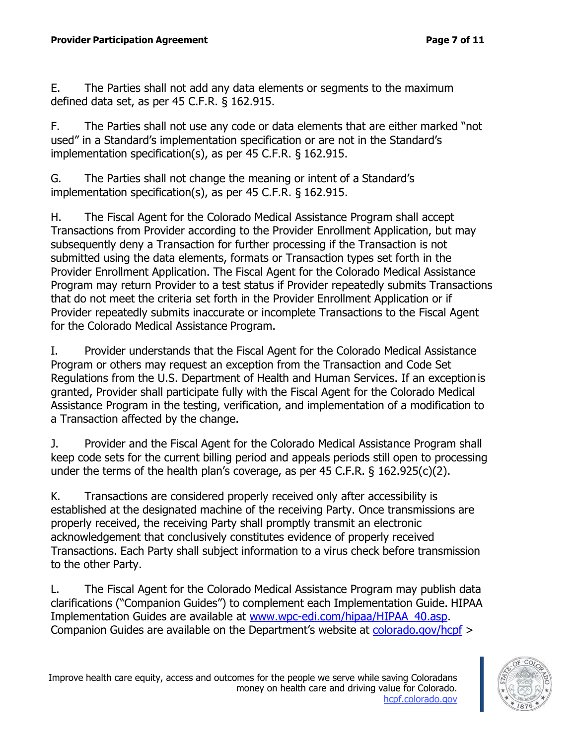E. The Parties shall not add any data elements or segments to the maximum defined data set, as per 45 C.F.R. § 162.915.

F. The Parties shall not use any code or data elements that are either marked "not used" in a Standard's implementation specification or are not in the Standard's implementation specification(s), as per 45 C.F.R. § 162.915.

G. The Parties shall not change the meaning or intent of a Standard's implementation specification(s), as per 45 C.F.R. § 162.915.

H. The Fiscal Agent for the Colorado Medical Assistance Program shall accept Transactions from Provider according to the Provider Enrollment Application, but may subsequently deny a Transaction for further processing if the Transaction is not submitted using the data elements, formats or Transaction types set forth in the Provider Enrollment Application. The Fiscal Agent for the Colorado Medical Assistance Program may return Provider to a test status if Provider repeatedly submits Transactions that do not meet the criteria set forth in the Provider Enrollment Application or if Provider repeatedly submits inaccurate or incomplete Transactions to the Fiscal Agent for the Colorado Medical Assistance Program.

I. Provider understands that the Fiscal Agent for the Colorado Medical Assistance Program or others may request an exception from the Transaction and Code Set Regulations from the U.S. Department of Health and Human Services. If an exceptionis granted, Provider shall participate fully with the Fiscal Agent for the Colorado Medical Assistance Program in the testing, verification, and implementation of a modification to a Transaction affected by the change.

J. Provider and the Fiscal Agent for the Colorado Medical Assistance Program shall keep code sets for the current billing period and appeals periods still open to processing under the terms of the health plan's coverage, as per 45 C.F.R. § 162.925(c)(2).

K. Transactions are considered properly received only after accessibility is established at the designated machine of the receiving Party. Once transmissions are properly received, the receiving Party shall promptly transmit an electronic acknowledgement that conclusively constitutes evidence of properly received Transactions. Each Party shall subject information to a virus check before transmission to the other Party.

L. The Fiscal Agent for the Colorado Medical Assistance Program may publish data clarifications ("Companion Guides") to complement each Implementation Guide. HIPAA Implementation Guides are available at [www.wpc-edi.com/hipaa/HIPAA\\_40.asp.](http://www.wpc-edi.com/hipaa/HIPAA_40.asp) Companion Guides are available on the Department's website at colorado.gov/hcpf >

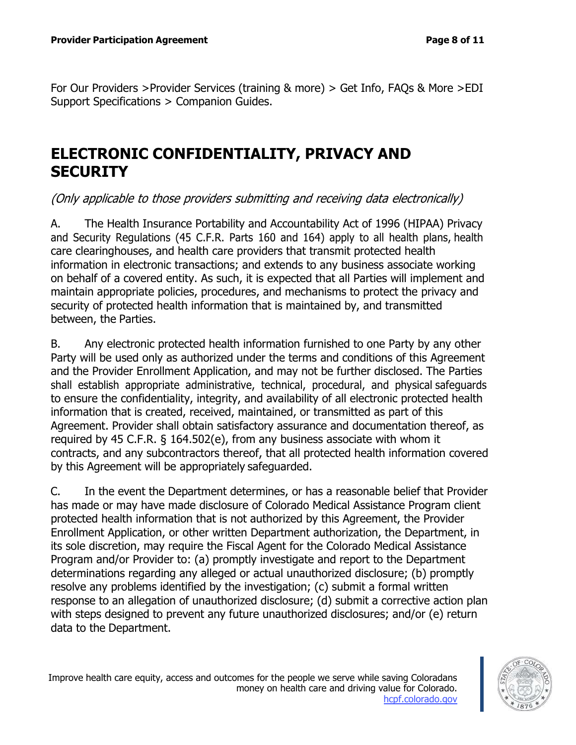For Our Providers >Provider Services (training & more) > Get Info, FAQs & More >EDI Support Specifications > Companion Guides.

### **ELECTRONIC CONFIDENTIALITY, PRIVACY AND SECURITY**

(Only applicable to those providers submitting and receiving data electronically)

A. The Health Insurance Portability and Accountability Act of 1996 (HIPAA) Privacy and Security Regulations (45 C.F.R. Parts 160 and 164) apply to all health plans, health care clearinghouses, and health care providers that transmit protected health information in electronic transactions; and extends to any business associate working on behalf of a covered entity. As such, it is expected that all Parties will implement and maintain appropriate policies, procedures, and mechanisms to protect the privacy and security of protected health information that is maintained by, and transmitted between, the Parties.

B. Any electronic protected health information furnished to one Party by any other Party will be used only as authorized under the terms and conditions of this Agreement and the Provider Enrollment Application, and may not be further disclosed. The Parties shall establish appropriate administrative, technical, procedural, and physical safeguards to ensure the confidentiality, integrity, and availability of all electronic protected health information that is created, received, maintained, or transmitted as part of this Agreement. Provider shall obtain satisfactory assurance and documentation thereof, as required by 45 C.F.R. § 164.502(e), from any business associate with whom it contracts, and any subcontractors thereof, that all protected health information covered by this Agreement will be appropriately safeguarded.

C. In the event the Department determines, or has a reasonable belief that Provider has made or may have made disclosure of Colorado Medical Assistance Program client protected health information that is not authorized by this Agreement, the Provider Enrollment Application, or other written Department authorization, the Department, in its sole discretion, may require the Fiscal Agent for the Colorado Medical Assistance Program and/or Provider to: (a) promptly investigate and report to the Department determinations regarding any alleged or actual unauthorized disclosure; (b) promptly resolve any problems identified by the investigation; (c) submit a formal written response to an allegation of unauthorized disclosure; (d) submit a corrective action plan with steps designed to prevent any future unauthorized disclosures; and/or (e) return data to the Department.

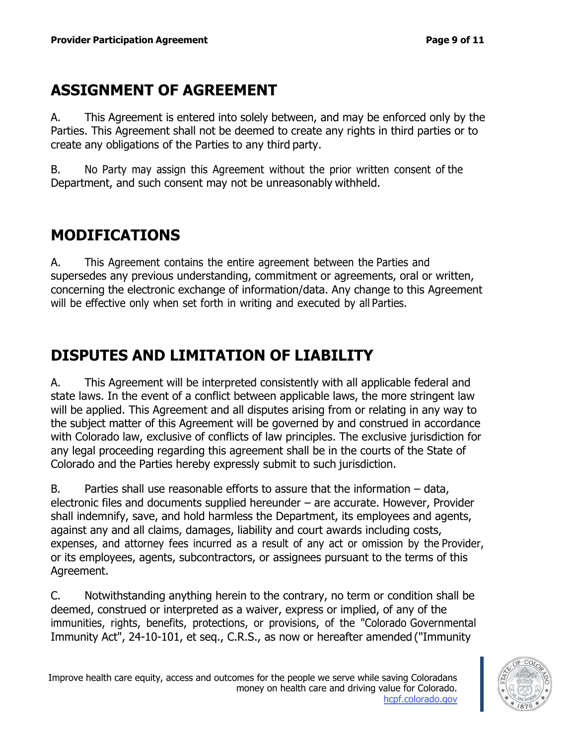# **ASSIGNMENT OF AGREEMENT**

A. This Agreement is entered into solely between, and may be enforced only by the Parties. This Agreement shall not be deemed to create any rights in third parties or to create any obligations of the Parties to any third party.

B. No Party may assign this Agreement without the prior written consent of the Department, and such consent may not be unreasonably withheld.

# **MODIFICATIONS**

A. This Agreement contains the entire agreement between the Parties and supersedes any previous understanding, commitment or agreements, oral or written, concerning the electronic exchange of information/data. Any change to this Agreement will be effective only when set forth in writing and executed by all Parties.

# **DISPUTES AND LIMITATION OF LIABILITY**

A. This Agreement will be interpreted consistently with all applicable federal and state laws. In the event of a conflict between applicable laws, the more stringent law will be applied. This Agreement and all disputes arising from or relating in any way to the subject matter of this Agreement will be governed by and construed in accordance with Colorado law, exclusive of conflicts of law principles. The exclusive jurisdiction for any legal proceeding regarding this agreement shall be in the courts of the State of Colorado and the Parties hereby expressly submit to such jurisdiction.

B. Parties shall use reasonable efforts to assure that the information  $-$  data, electronic files and documents supplied hereunder – are accurate. However, Provider shall indemnify, save, and hold harmless the Department, its employees and agents, against any and all claims, damages, liability and court awards including costs, expenses, and attorney fees incurred as a result of any act or omission by the Provider, or its employees, agents, subcontractors, or assignees pursuant to the terms of this Agreement.

C. Notwithstanding anything herein to the contrary, no term or condition shall be deemed, construed or interpreted as a waiver, express or implied, of any of the immunities, rights, benefits, protections, or provisions, of the "Colorado Governmental Immunity Act", 24-10-101, et seq., C.R.S., as now or hereafter amended ("Immunity

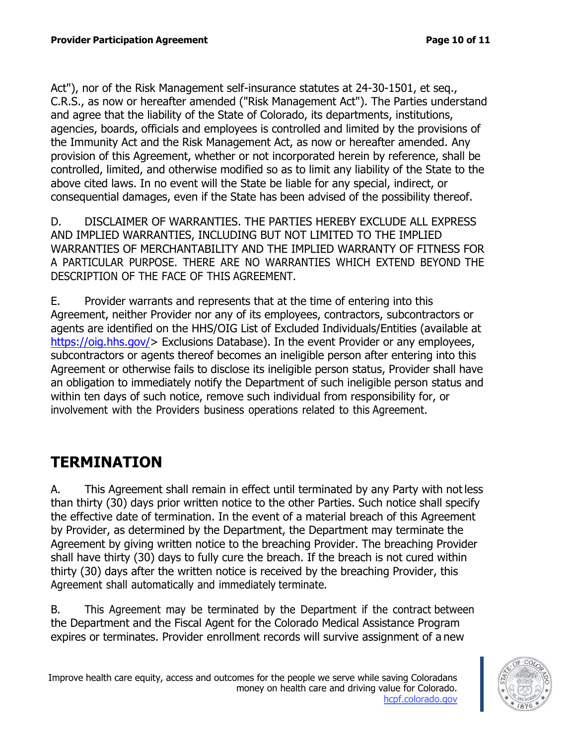Act"), nor of the Risk Management self-insurance statutes at 24-30-1501, et seq., C.R.S., as now or hereafter amended ("Risk Management Act"). The Parties understand and agree that the liability of the State of Colorado, its departments, institutions, agencies, boards, officials and employees is controlled and limited by the provisions of the Immunity Act and the Risk Management Act, as now or hereafter amended. Any provision of this Agreement, whether or not incorporated herein by reference, shall be controlled, limited, and otherwise modified so as to limit any liability of the State to the above cited laws. In no event will the State be liable for any special, indirect, or consequential damages, even if the State has been advised of the possibility thereof.

D. DISCLAIMER OF WARRANTIES. THE PARTIES HEREBY EXCLUDE ALL EXPRESS AND IMPLIED WARRANTIES, INCLUDING BUT NOT LIMITED TO THE IMPLIED WARRANTIES OF MERCHANTABILITY AND THE IMPLIED WARRANTY OF FITNESS FOR A PARTICULAR PURPOSE. THERE ARE NO WARRANTIES WHICH EXTEND BEYOND THE DESCRIPTION OF THE FACE OF THIS AGREEMENT.

E. Provider warrants and represents that at the time of entering into this Agreement, neither Provider nor any of its employees, contractors, subcontractors or agents are identified on the HHS/OIG List of Excluded Individuals/Entities (available at https://oig.hhs.gov/> Exclusions Database). In the event Provider or any employees, subcontractors or agents thereof becomes an ineligible person after entering into this Agreement or otherwise fails to disclose its ineligible person status, Provider shall have an obligation to immediately notify the Department of such ineligible person status and within ten days of such notice, remove such individual from responsibility for, or involvement with the Providers business operations related to this Agreement.

## **TERMINATION**

A. This Agreement shall remain in effect until terminated by any Party with not less than thirty (30) days prior written notice to the other Parties. Such notice shall specify the effective date of termination. In the event of a material breach of this Agreement by Provider, as determined by the Department, the Department may terminate the Agreement by giving written notice to the breaching Provider. The breaching Provider shall have thirty (30) days to fully cure the breach. If the breach is not cured within thirty (30) days after the written notice is received by the breaching Provider, this Agreement shall automatically and immediately terminate.

B. This Agreement may be terminated by the Department if the contract between the Department and the Fiscal Agent for the Colorado Medical Assistance Program expires or terminates. Provider enrollment records will survive assignment of a new